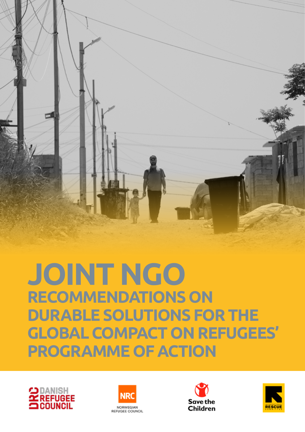

**JOINT NGO RECOMMENDATIONS ON DURABLE SOLUTIONS FOR THE GLOBAL COMPACT ON REFUGEES' PROGRAMME OF ACTION** 







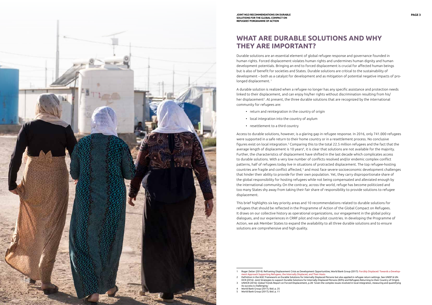

**JOINT NGO RECOMMENDATIONS ON DURABLE PAGE 3 SOLUTIONS FOR THE GLOBAL COMPACT ON REFUGEES' PORGRAMME OF ACTION**

Durable solutions are an essential element of global refugee response and governance founded in human rights. Forced displacement violates human rights and undermines human dignity and human development potentials. Bringing an end to forced displacement is crucial for affected human beings but is also of benefit for societies and States. Durable solutions are critical to the sustainability of development – both as a catalyst for development and as mitigation of potential negative impacts of prolonged displacement.<sup>1</sup>

A durable solution is realized when a refugee no longer has any specific assistance and protection needs linked to their displacement, and can enjoy his/her rights without discrimination resulting from his/ her displacement<sup>2</sup>. At present, the three durable solutions that are recognized by the international community for refugees are:

- return and reintegration in the country of origin
- local integration into the country of asylum
- resettlement to a third country

Access to durable solutions, however, is a glaring gap in refugee response. In 2016, only 741.000 refugees were supported in a safe return to their home country or in a resettlement process. No conclusive figures exist on local integration.3 Comparing this to the total 22.5 million refugees and the fact that the average length of displacement is 10 years<sup>4</sup>, it is clear that solutions are not available for the majority. Further, the characteristics of displacement have shifted in the last decade which complicates access to durable solutions. With a very low number of conflicts resolved and/or endemic complex conflict patterns, half of refugees today live in situations of protracted displacement. The top refugee-hosting countries are fragile and conflict affected, 5 and most face severe socioeconomic development challenges that hinder their ability to provide for their own population. Yet, they carry disproportionate share of the global responsibility for hosting refugees while not being compensated and alleviated enough by the international community.On the contrary, across the world, refuge has become politicized and too many States shy away from taking their fair share of responsibility to provide solutions to refugee displacement.

This brief highlights six key priority areas and 10 recommendations related to durable solutions for refugees that should be reflected in the Programme of Action of the Global Compact on Refugees. It draws on our collective history as operational organizations, our engagement in the global policy dialogues, and our experiences in CRRF pilot and non-pilot countries. In developing the Programme of Action, we ask Member States to expand the availability to all three durable solutions and to ensure solutions are comprehensive and high quality.

HCR (2016): Joint Strategies to support Durable Solutions for Internally Displaced Persons (IDPs) and Refugees Returning to their Country of Origin).

# **WHAT ARE DURABLE SOLUTIONS AND WHY THEY ARE IMPORTANT?**

<sup>1</sup> Roger Zetter (2014): Reframing Displacement Crisis as Development Opportunities; World Bank Group (2017): Forcibly Displaced: Towards a Development Approach Supporting Refugees, the Internally Displaced, and Their Hosts

Definition in the IASC Framework on Durable Solutions for Internally Displaced Persons but also applied in refugee return settings. See UNDP & UN-

<sup>3</sup>  UNHCR (2016): Global Trends Report on Forced Displacement, p.28: 'Given the complex issues involved in local integration, measuring and quantifying its success is challenging.'

<sup>4</sup>  World Bank Group (2017); Ibid. p. 25

World Bank Group (2017); ibid. p. 11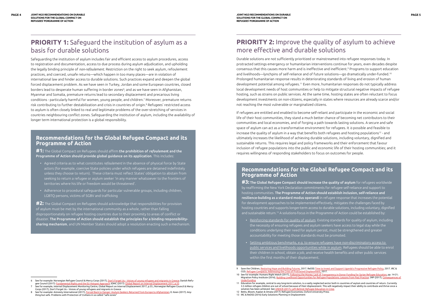# **PRIORITY 1:** Safeguard the institution of asylum as a basis for durable solutions

Safeguarding the institution of asylum includes fair and efficient access to asylum procedures, access to registration and documentation, access to due process during asylum adjudication, and upholding the legally binding principle of *non-refoulement*. Restriction on the right to seek asylum, refoulement practices, and coerced, unsafe returns—which happen in too many places—are in violation of international law and hinder access to durable solutions. Such practices expand and deepen the global forced displacement problem. As we have seen in Turkey, Jordan and some European countries, closed borders lead to desperate human suffering in border zones<sup>6</sup>; and as we have seen in Afghanistan, Myanmar and Somalia, premature returns lead to secondary displacement and precarious living conditions - particularly harmful for women, young people, and children.7 Moreover, premature returns risk contributing to further destabilization and crisis in countries of origin.8 Refugees' restricted access to asylum is often closely linked to real and legitimate problems of the over-stretching of services in countries neighbouring conflict zones. Safeguarding the institution of asylum, including the availability of longer term international protection is a global responsibility.

**#2:** The Global Compact on Refugees should acknowledge that responsibilities for provision of asylum must be met by the international community as a whole, rather than falling disproportionately on refugee hosting countries due to their proximity to areas of conflict or disaster. The Programme of Action should establish the principles for a binding responsibilitysharing mechanism, and UN Member States should adopt a resolution enacting such a mechanism.

#### **Recommendations for the Global Refugee Compact and its Programme of Action**

**#1:** The Global Compact on Refugees should affirm the prohibition of *refoulemen*t and the Programme of Action should provide global guidance on its application. This includes:

## **PRIORITY 2:** Improve the quality of asylum to achieve more effective and durable solutions

- Agreed criteria as to what constitutes *refoulement* in the absence of physical force by State actors (for example, coercive State policies under which refugees are detained indefinitely unless they choose to return). These criteria must reflect States' obligation to abstain from seeking to return a refugee or asylum seeker 'in any manner whatsoever to the frontiers of territories where his life or freedom would be threatened'.
- Adherence to procedural safeguards for particular vulnerable groups, including children, LGBTQ persons, victims of SGBV and trafficking

**#3:** The Global Refugee Compact should increase the quality of asylum for refugees worldwide by reaffirming the New York Declaration commitments for refugee self-reliance and support to hosting communities. The Programme of Action should establish inclusion, self-reliance and resilience-building as a standard modus operandi in refugee response that increases the potential for development approaches to be implemented effectively, mitigates the challenges faced by hosting countries and supports longer-term access to durable solutions, including voluntary, dignified and sustainable return.<sup>13</sup> A solutions-focus in the Programme of Action could be established by:

Durable solutions are not sufficiently prioritized or mainstreamed into refugee responses today. In protracted settings emergency or humanitarian interventions continue for years, even decades despite consensus that this causes more harm and is ineffective and inefficient.9 Programs to support education and livelihoods—lynchpins of self-reliance and of future solutions—go dramatically under-funded.10 Prolonged humanitarian response results in deteriorating standards of living and erosion of human development potential among refugees.11 Even more, humanitarian responses do not typically address local development needs of host communities or help to mitigate structural negative impacts of refugee hosting, such as strains on public services. At the same time, hosting states are often reluctant to focus development investments on non-citizens, especially in states where resources are already scarce and/or not reaching the most vulnerable or marginalized citizens.

If refugees are entitled and enabled to become self-reliant and participate in the economic and social life of their host communities, they stand a much better chance of becoming net contributors to their communities and local economies, and of forging a path towards lasting solutions. A secure and safe space of asylum can act as a transformative environment for refugees. It *is* possible and feasible to increase the quality of asylum in a way that benefits both refugees and hosting populations<sup>12</sup> - and ultimately increases the likelihood of achieving durable solutions, including voluntary, dignified and sustainable returns. This requires legal and policy frameworks and their enforcement that favour inclusion of refugee populations into the public and economic life of their hosting communities; and it requires willingness of responding stakeholders to focus on outcomes for people.

### **Recommendations for the Global Refugee Compact and its Programme of Action**

- Reinforcing standards for quality of asylum. Existing standards for quality of asylum, including the necessity of ensuring refugees and asylum seekers have access to legal stay while the conditions underlying their need for asylum persist, must be strengthened and greater accountability for meeting those standards must be promoted.
- Setting ambitious benchmarks, e.g. to ensure refugees have non-discriminatory access to public services and livelihoods opportunities while in asylum. Refugees should be able to enrol their children in school, obtain a job, and receive health benefits and other public services within the first months of their displacement.

See for example: Norwegian Refugee Council & Mercy Corps (2017), <u>Don't Forget Us – Voices of young refugees and migrants in Greece</u>; Danish Refugee Council (2017): Fundamental Rights and the EU Hotspot Approach; IDMC (2017): Global Report on Internal Displacement 2017, p.5!

See for example, Internal Displacement Monitoring Centre, Global Report on Internal Displacement 2017, p.55.; Norwegian Refugee Council & Mercy Corps (2017), Don't Forget Us – Voices of young refugees and migrants in Greece

See for example: Amnesty International (2017), Forced Back to Danger: Asylum-Seekers Returned from Europe to Afghanistan; D. Keen (2017): Anything but safe. Problems with Protection of Civilians in so-called "safe zones"

CGD, Refugee Compacts: Addressing the Crisis of Protracted Displacement, 2017. 10 See for example: Humans Right Watch (2017), Following the Money: Lack of Transparency in Donor Funding for Syrian Refugee Education, pp. 14-21; Migration Policy Institute (2016), Building Livelihood Opportunities for Refugee Populations: Lessons from Past Practice; 3RP (2017), Consec

derfunding 11 Education for example, central to any long-term solution, is a vastly neglected sector both in countries of asylum and countries of return. Currently

<sup>9</sup> Save the Children, Restoring Hope and Building Futures, 2017. ReDSS Time to Invest and Support Uganda's Progressive Refugee Policy, 2017. IRC &

<sup>3.5</sup> million refugee children are out of school because of their displacement. This will negatively impact their ability to contribute and thrive once a solution has been achieved. See UNHCR (2017), Left Behind: Refugee Education in Crisis 12 Betts, Bloom, Kaplan & Omata (2017): Refugee Economies; Oxford University Press

<sup>13</sup> IRC & ReDSS (2016) Early Solutions Planning in Displacement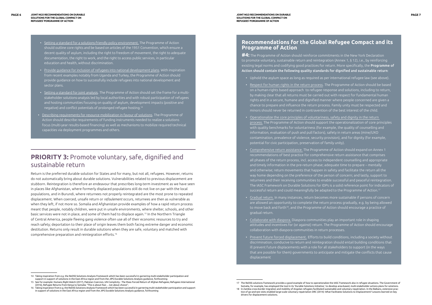- Setting a standard for a solutions-friendly policy environment. The Programme of Action should outline core rights and be based on articles of the 1951 Convention, which ensure a decent quality of asylum, including the right to freedom of movement, the right to adequate documentation, the right to work, and the right to access public services, in particular education and health, without discrimination.
- Provide guidance for inclusion of refugees into national development plans. With inspiration from recent examples notably from Uganda and Turkey, the Programme of Action should provide guidance on how to successfully include refugees into national development and sector plans.
- Setting a standard for joint analysis. The Programme of Action should set the frame for a multistakeholder solutions-analysis led by local authorities and with robust participation of refugees and hosting communities focusing on quality of asylum, development impacts (positive and negative) and conflict potentials of prolonged refugee hosting.<sup>14</sup>
- Describing requirements for resource mobilization in favour of solutions. The Programme of Action should describe requirements of funding instruments needed to realize a solutions focus (multi-year results-based financing) as well as mechanisms to mobilize required technical capacities via deployment programmes and others.

### **PRIORITY 3:** Promote voluntary, safe, dignified and sustainable return

Return is the preferred durable solution for States and for many, but not all, refugees. However, returns do not automatically bring about durable solutions. Vulnerabilities related to previous displacement are stubborn. Reintegration is therefore an endeavour that prescribes long-term investment as we have seen in places like Afghanistan, where formerly displaced populations still do not live on par with the local populations, and in Burundi, where returnees not properly reintegrated are the most prone to repeated displacement. When coerced, unsafe return or *refoulement* occurs, returnees are then as vulnerable as when they left, if not more so. Somalia and Afghanistan provide examples of how a rapid return process meant that people, notably children, were put in unsafe environments, where shelter, schools, and other basic services were not in place, and some of them had to displace again.15 In the Northern Triangle of Central America, people fleeing gang violence often use all of their economic resources to try and reach safety; deportation to their place of origin leaves them both facing extreme danger and economic destitution. Returns only result in durable solutions when they are safe, voluntary and matched with comprehensive preparation and reintegration efforts.<sup>16</sup>

#### **Recommendations for the Global Refugee Compact and its Programme of Action**

**#4:** The Programme of Action should reinforce commitments in the New York Declaration to promote voluntary, sustainable return and reintegration (Annex 1, § 12), i.e., by reinforcing existing legal norms and codifying good practices for return. More specifically, the **Programme of** Action should contain the following quality standards for dignified and sustainable return:

- Uphold the asylum space as long as required as per international refugee law (see above).
- Respect for human rights in the return process. The Programme of Action should be based on a human-rights based approach to refugee response and solutions, including to return, by making clear that all returns must be carried out with respect for fundamental human rights and in a secure, humane and dignified manner where people concerned are given a chance to prepare and influence the return process. Family unity must be respected and minors should never be returned in contravention of the best interest of the child.
- Operationalize the core principles of voluntariness, safety and dignity in the return process. The Programme of Action should support the operationalization of core principles with quality benchmarks for voluntariness (for example, the quality of counselling and information, evaluation of push and pull factors), safety in return areas (mine/UXO contamination, prevalence of violence, security provision), and for dignity (for example, potential for civic participation, preservation of family unity).
- Comprehensive return assistance. The Programme of Action should expand on Annex 1 recommendations of best practice for comprehensive return assistance that comprises all phases of the return process, incl. access to independent counselling and appropriate and timely information in the pre-return phase; adequate time to prepare – mentally and otherwise; return movements that happen in safety and facilitate the return all the way home depending on the preference of the person of concern; and lastly, support to returnees and their receiving communities to enable successful and peaceful reintegration. The IASC Framework on Durable Solutions for IDPs is a solid reference point for indicators of successful return and could meaningfully be adapted to the Programme of Action.<sup>17</sup>
- Gradual return. In many instances, return becomes more sustainable if persons of concern are allowed an opportunity to complete the return process gradually, e.g. by being allowed to move back and forth<sup>18</sup>, and the Programme of Action should encourage a practice of gradual return.
- Collaborate with diaspora. Diaspora communities play an important role in shaping attitudes and incentives for (or against) return. The Programme of Action should encourage collaboration with diaspora communities in return processes.
- Prevent future forced displacement. Efforts to build conditions, including a society without discrimination, conducive to return and reintegration should entail building conditions that ill prevent future displacements with a role for all stakeholders to support (in the ways that are possible for them) governments to anticipate and mitigate the conflicts that cause displacement

<sup>14</sup> Taking inspiration from e.g. the ReDSS Solutions Analysis Framework which has been successful in garnering multi-stakeholder participation and support in support of solutions in the East Africa region and from the JIPS Durable Solutions Analysis guidance, forthcoming

<sup>15</sup> See for example: Humans Right Watch (2017), Pakistan Coercion, UN Complicity - The Mass Forced Return of Afghan Refugees; Refugees International (2016), Refugee Returns from Kenya to Somalia: "This is about fear… not about choice";

<sup>16</sup> Taking inspiration from e.g. the ReDSS Solutions Analysis Framework which has been successful in garnering multi-stakeholder participation and support in support of solutions in the East Africa region and from the JIPS Durable Solutions Analysis guidance, forthcoming

<sup>17</sup> The ReDSS solutions framework provides a good example of how to operationalize the IASC framework also in refugee situations. The Government of Somalia, for example, has employed the tool in its 'Durable Solutions Initiative,' to develop area-based, multi-stakeholder actions plans for solutions.

<sup>18</sup> In Zambia cross-border migration and mobility of Angolan refugees facilitated sustainable and voluntary repatriation. In the Balkans, extensive practice of go-and-see visits enabled large-scale voluntary repatriation DRC (2014): What Facilitates Solutions to Displacement? Lessons learned on key drivers for displacement solutions.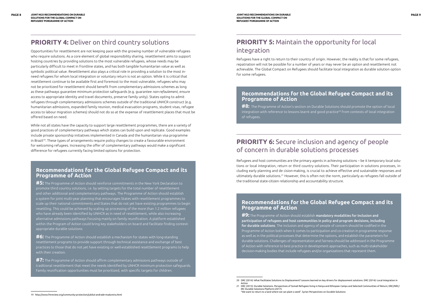# **PRIORITY 4: Deliver on third country solutions**

Opportunities for resettlement are not keeping pace with the growing number of vulnerable refugees who require solutions. As a core element of global responsibility sharing, resettlement aims to support hosting countries by providing solutions to the most vulnerable refugees, whose needs may be particularly difficult to meet in frontline states, and has both tangible humanitarian value as well as symbolic political value. Resettlement also plays a critical role in providing a solution to the most inneed refugees for whom local integration or voluntary return is not an option. While it is critical that resettlement continue to be available first and foremost to the most vulnerable, refugees who may not be prioritized for resettlement should benefit from complementary admissions schemes as long as these pathways guarantee minimum protection safeguards (e.g. guarantee *non-refoulement*, ensure access to appropriate identity and travel documents, preserve family unity). States opting to admit refugees through complementary admissions schemes outside of the traditional UNHCR construct (e.g. humanitarian admissions, expanded family reunion, medical evacuation programs, student visas, refugee access to labour migration schemes) should not do so at the expense of resettlement places that must be offered based on need.

While not all states have the capacity to support large resettlement programmes, there are a variety of good practices of complementary pathways which states can build upon and replicate. Good examples include private sponsorship initiatives implemented in Canada and the humanitarian visa programme in Brazil<sup>19</sup>. These types of arrangements require policy changes to create a favourable environment for welcoming refugees. Increasing the offer of complementary pathways would make a significant difference for refugees currently facing limited options for protection.

### **Recommendations for the Global Refugee Compact and its Programme of Action**

**#5:** The Programme of Action should reinforce commitments in the New York Declaration to promote third country solutions, i.e. by setting targets for the total number of resettlement and other additional and complementary pathways. The Programme of Action should establish a system for joint multi-year planning that encourages States with resettlement programmes to scale up their national commitments and States that do not yet have existing programmes to begin resettling. This could be achieved by scaling up processing of the more than 1.2 million refugees who have already been identified by UNHCR as in need of resettlement, while also increasing alternative admissions pathways focusing mainly on family reunification. A platform established within the Program of Action could bring key stakeholders on board and facilitate finding contextappropriate durable solutions

**#6:** The Programme of Action should establish a mechanism for states with long-standing resettlement programs to provide support through technical assistance and exchange of best practices to those that do not yet have existing or well-established resettlement programs to help with their creation.

**#7:** The Programme of Action should affirm complementary admissions pathways outside of traditional resettlement that meet the needs identified by UNHCR minimum protection safeguards. Family reunification opportunities must be prioritized, with specific targets for children.

### **PRIORITY 5:** Maintain the opportunity for local integration

Refugees have a right to return to their country of origin. However, the reality is that for some refugees, repatriation will not be possible for a number of years or may never be an option and resettlement not achievable. The Global Compact on Refugees should facilitate local integration as durable solution option for some refugees.

### **Recommendations for the Global Refugee Compact and its Programme of Action**

**#8:** The Programme of Action's section on Durable Solutions should promote the option of local integration with reference to lessons learnt and good practice<sup>20</sup> from contexts of local integration of refugees.

## **PRIORITY 6:** Secure inclusion and agency of people of concern in durable solutions processes

Refugees and host communities are the primary agents in achieving solutions – be it temporary local solutions or local integration, return or third country solutions. Their participation in solutions processes, including early planning and de cision-making, is crucial to achieve effective and sustainable responses and ultimately durable solutions.21 However, this is often not the norm, particularly as refugees fall outside of the traditional state-citizen relationship and accountability structure.

### **Recommendations for the Global Refugee Compact and its Programme of Action**

**#9:** The Programme of Action should establish mandatory modalities for inclusion and participation of refugees and host communities in policy and program decisions, including for durable solutions. The inclusion and agency of people of concern should be codified in the Programme of Action both when it comes to participation and co-creation in programme response as well as in the political processes that determine the options, and establish the parameters for durable solutions. Challenges of representation and fairness should be addressed in the Programme of Action with reference to best practice in development approaches, such as multi-stakeholder decision-making bodies that include refugees and/or organizations that represent them.

<sup>19</sup> http://www.fmreview.org/community-protection/jubilut-andrade-madureira.html

<sup>20</sup> DRC (2014): What Facilitates Solutions to Displacement? Lessons learned on key drivers for displacement solutions. DRC (2014): Local Integration in Action

<sup>21</sup> DRC (2013): Durable Solutions. Perspectives of Somali Refugees living in Kenya and Ethiopian Camps and Selected Communities of Return; DRC/NRC/ IRC Durable Solutions Platform (2017): "We want to return to a land where we can plant a seed". Syrian Perspectives on Durable Solutions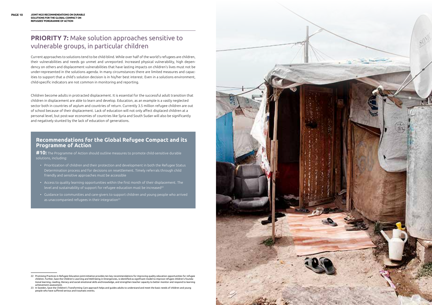# **PRIORITY 7:** Make solution approaches sensitive to vulnerable groups, in particular children

Current approaches to solutions tend to be child-blind. While over half of the world's refugees are children, their vulnerabilities and needs go unmet and unreported. Increased physical vulnerability, high dependency on others and displacement vulnerabilities that have lasting impacts on children's lives must not be under-represented in the solutions agenda. In many circumstances there are limited measures and capacities to support that a child's solution decision is in his/her best interest. Even in a solutions environment, child-specific indicators are not common in monitoring and reporting.

- Prioritization of children and their protection and development in both the Refugee Status Determination process and for decisions on resettlement. Timely referrals through child friendly and sensitive approaches must be accessible
- Access to quality learning opportunities within the first month of their displacement. The level and sustainability of support for refugee education must be increased<sup>22</sup>
- Guidance to communities and care-givers to support children and young people who arrived as unaccompanied refugees in their integration<sup>23</sup>

Children become adults in protracted displacement. It is essential for the successful adult transition that children in displacement are able to learn and develop. Education, as an example is a vastly neglected sector both in countries of asylum and countries of return. Currently 3.5 million refugee children are out of school because of their displacement. Lack of education will not only affect displaced children at a personal level, but post-war economies of countries like Syria and South Sudan will also be significantly and negatively stunted by the lack of education of generations.

#### **Recommendations for the Global Refugee Compact and its Programme of Action**

**#10:** The Programme of Action should outline measures to promote child-sensitive durable solutions, including:

<sup>23</sup> In Sweden, Save the Children's Transforming Care approach helps and guides adults to understand and meet the basic needs of children and young people who have suffered serious and traumatic events.



<sup>22</sup> Promising Practices in Refugee Education joint-initiative provides ten key recommendations for improving quality education opportunities for refugee children. Further, Save the Children's Learning and Well-being in Emergencies, is identified as significant model to improve refugee children's foundational learning, reading, literacy and social emotional skills and knowledge, and strengthen teacher capacity to better monitor and respond to learning achievement assessment.